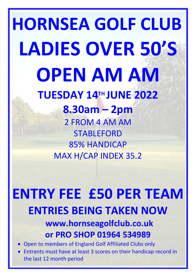# **HORNSEA GOLF CLUB LADIES OVER 50'S OPEN AM AM TUESDAY 14TH JUNE 2022**

**8.30am – 2pm** 2 FROM 4 AM AM STABLEFORD 85% HANDICAP MAX H/CAP INDEX 35.2

## **ENTRY FEE £50 PER TEAM ENTRIES BEING TAKEN NOW www.hornseagolfclub.co.uk**

**or PRO SHOP 01964 534989**

- Open to members of England Golf Affiliated Clubs only
- Entrants must have at least 3 scores on their handicap record in the last 12 month period